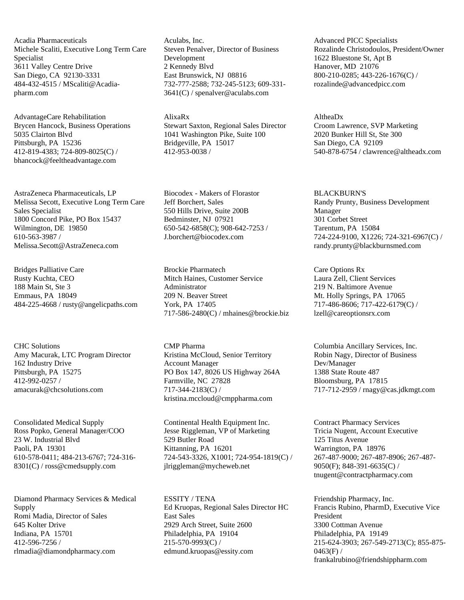Acadia Pharmaceuticals Michele Scaliti, Executive Long Term Care Specialist 3611 Valley Centre Drive San Diego, CA 92130-3331 484-432-4515 / MScaliti@Acadiapharm.com

AdvantageCare Rehabilitation Brycen Hancock, Business Operations 5035 Clairton Blvd Pittsburgh, PA 15236 412-819-4383; 724-809-8025(C) / bhancock@feeltheadvantage.com

AstraZeneca Pharmaceuticals, LP Melissa Secott, Executive Long Term Care Sales Specialist 1800 Concord Pike, PO Box 15437 Wilmington, DE 19850 610-563-3987 / Melissa.Secott@AstraZeneca.com

Bridges Palliative Care Rusty Kuchta, CEO 188 Main St, Ste 3 Emmaus, PA 18049 484-225-4668 / rusty@angelicpaths.com

CHC Solutions Amy Macurak, LTC Program Director 162 Industry Drive Pittsburgh, PA 15275 412-992-0257 / amacurak@chcsolutions.com

Consolidated Medical Supply Ross Popko, General Manager/COO 23 W. Industrial Blvd Paoli, PA 19301 610-578-0411; 484-213-6767; 724-316- 8301(C) / ross@cmedsupply.com

Diamond Pharmacy Services & Medical Supply Romi Madia, Director of Sales 645 Kolter Drive Indiana, PA 15701 412-596-7256 / rlmadia@diamondpharmacy.com

Aculabs, Inc. Steven Penalver, Director of Business Development 2 Kennedy Blvd East Brunswick, NJ 08816 732-777-2588; 732-245-5123; 609-331- 3641(C) / spenalver@aculabs.com

AlixaRx Stewart Saxton, Regional Sales Director 1041 Washington Pike, Suite 100 Bridgeville, PA 15017 412-953-0038 /

Biocodex - Makers of Florastor Jeff Borchert, Sales 550 Hills Drive, Suite 200B Bedminster, NJ 07921 650-542-6858(C); 908-642-7253 / J.borchert@biocodex.com

Brockie Pharmatech Mitch Haines, Customer Service Administrator 209 N. Beaver Street York, PA 17405 717-586-2480(C) / mhaines@brockie.biz

CMP Pharma Kristina McCloud, Senior Territory Account Manager PO Box 147, 8026 US Highway 264A Farmville, NC 27828 717-344-2183(C) / kristina.mccloud@cmppharma.com

Continental Health Equipment Inc. Jesse Riggleman, VP of Marketing 529 Butler Road Kittanning, PA 16201 724-543-3326, X1001; 724-954-1819(C) / jlriggleman@mycheweb.net

ESSITY / TENA Ed Kruopas, Regional Sales Director HC East Sales 2929 Arch Street, Suite 2600 Philadelphia, PA 19104 215-570-9993(C) / edmund.kruopas@essity.com

Advanced PICC Specialists Rozalinde Christodoulos, President/Owner 1622 Bluestone St, Apt B Hanover, MD 21076 800-210-0285; 443-226-1676(C) / rozalinde@advancedpicc.com

AltheaDx Croom Lawrence, SVP Marketing 2020 Bunker Hill St, Ste 300 San Diego, CA 92109 540-878-6754 / clawrence@altheadx.com

BLACKBURN'S Randy Prunty, Business Development Manager 301 Corbet Street Tarentum, PA 15084 724-224-9100, X1226; 724-321-6967(C) / randy.prunty@blackburnsmed.com

Care Options Rx Laura Zell, Client Services 219 N. Baltimore Avenue Mt. Holly Springs, PA 17065 717-486-8606; 717-422-6179(C) / lzell@careoptionsrx.com

Columbia Ancillary Services, Inc. Robin Nagy, Director of Business Dev/Manager 1388 State Route 487 Bloomsburg, PA 17815 717-712-2959 / rnagy@cas.jdkmgt.com

Contract Pharmacy Services Tricia Nugent, Account Executive 125 Titus Avenue Warrington, PA 18976 267-487-9000; 267-487-8906; 267-487- 9050(F); 848-391-6635(C) / tnugent@contractpharmacy.com

Friendship Pharmacy, Inc. Francis Rubino, PharmD, Executive Vice President 3300 Cottman Avenue Philadelphia, PA 19149 215-624-3903; 267-549-2713(C); 855-875-  $0463(F)$  / frankalrubino@friendshippharm.com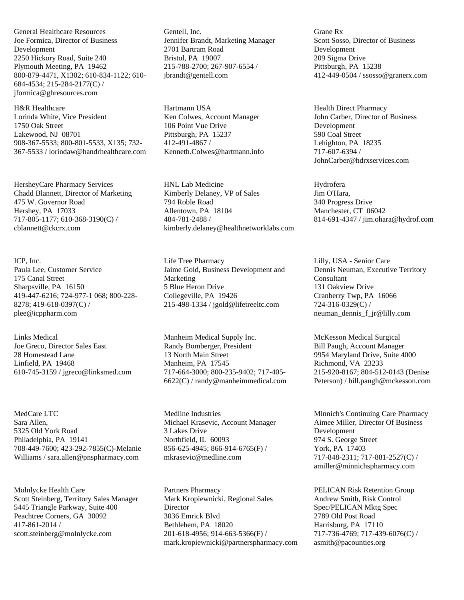General Healthcare Resources Joe Formica, Director of Business Development 2250 Hickory Road, Suite 240 Plymouth Meeting, PA 19462 800-879-4471, X1302; 610-834-1122; 610- 684-4534; 215-284-2177(C) / jformica@ghresources.com

H&R Healthcare Lorinda White, Vice President 1750 Oak Street Lakewood, NJ 08701 908-367-5533; 800-801-5533, X135; 732- 367-5533 / lorindaw@handrhealthcare.com

HersheyCare Pharmacy Services Chadd Blannett, Director of Marketing 475 W. Governor Road Hershey, PA 17033 717-805-1177; 610-368-3190(C) / cblannett@ckcrx.com

ICP, Inc. Paula Lee, Customer Service 175 Canal Street Sharpsville, PA 16150 419-447-6216; 724-977-1 068; 800-228- 8278; 419-618-0397(C) / plee@icppharm.com

Links Medical Joe Greco, Director Sales East 28 Homestead Lane Linfield, PA 19468 610-745-3159 / jgreco@linksmed.com

MedCare LTC Sara Allen, 5325 Old York Road Philadelphia, PA 19141 708-449-7600; 423-292-7855(C)-Melanie Williams / sara.allen@pnspharmacy.com

Molnlycke Health Care Scott Steinberg, Territory Sales Manager 5445 Triangle Parkway, Suite 400 Peachtree Corners, GA 30092 417-861-2014 / scott.steinberg@molnlycke.com

Gentell, Inc. Jennifer Brandt, Marketing Manager 2701 Bartram Road Bristol, PA 19007 215-788-2700; 267-907-6554 / jbrandt@gentell.com

Hartmann USA Ken Colwes, Account Manager 106 Point Vue Drive Pittsburgh, PA 15237 412-491-4867 / Kenneth.Colwes@hartmann.info

HNL Lab Medicine Kimberly Delaney, VP of Sales 794 Roble Road Allentown, PA 18104 484-781-2488 / kimberly.delaney@healthnetworklabs.com

Life Tree Pharmacy Jaime Gold, Business Development and Marketing 5 Blue Heron Drive Collegeville, PA 19426 215-498-1334 / jgold@lifetreeltc.com

Manheim Medical Supply Inc. Randy Bomberger, President 13 North Main Street Manheim, PA 17545 717-664-3000; 800-235-9402; 717-405- 6622(C) / randy@manheimmedical.com

Medline Industries Michael Krasevic, Account Manager 3 Lakes Drive Northfield, IL 60093 856-625-4945; 866-914-6765(F) / mkrasevic@medline.com

Partners Pharmacy Mark Kropiewnicki, Regional Sales **Director** 3036 Emrick Blvd Bethlehem, PA 18020 201-618-4956; 914-663-5366(F) / mark.kropiewnicki@partnerspharmacy.com Grane Rx Scott Sosso, Director of Business Development 209 Sigma Drive Pittsburgh, PA 15238 412-449-0504 / ssosso@granerx.com

Health Direct Pharmacy John Carber, Director of Business Development 590 Coal Street Lehighton, PA 18235 717-607-6394 / JohnCarber@hdrxservices.com

Hydrofera Jim O'Hara, 340 Progress Drive Manchester, CT 06042 814-691-4347 / jim.ohara@hydrof.com

Lilly, USA - Senior Care Dennis Neuman, Executive Territory Consultant 131 Oakview Drive Cranberry Twp, PA 16066 724-316-0329(C) / neuman\_dennis\_f\_jr@lilly.com

McKesson Medical Surgical Bill Paugh, Account Manager 9954 Maryland Drive, Suite 4000 Richmond, VA 23233 215-920-8167; 804-512-0143 (Denise Peterson) / bill.paugh@mckesson.com

Minnich's Continuing Care Pharmacy Aimee Miller, Director Of Business Development 974 S. George Street York, PA 17403 717-848-2311; 717-881-2527(C) / amiller@minnichspharmacy.com

PELICAN Risk Retention Group Andrew Smith, Risk Control Spec/PELICAN Mktg Spec 2789 Old Post Road Harrisburg, PA 17110 717-736-4769; 717-439-6076(C) / asmith@pacounties.org